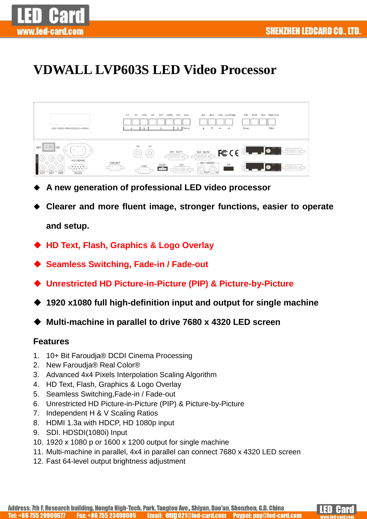

# **VDWALL LVP603S LED Video Processor**



- **A new generation of professional LED video processor**
- **Clearer and more fluent image, stronger functions, easier to operate**

**and setup.**

- **HD Text, Flash, Graphics & Logo Overlay**
- **Seamless Switching, Fade-in / Fade-out**
- **Unrestricted HD Picture-in-Picture (PIP) & Picture-by-Picture**
- **1920 x1080 full high-definition input and output for single machine**
- **Multi-machine in parallel to drive 7680 x 4320 LED screen**

#### **Features**

- 1. 10+ Bit Faroudja® DCDI Cinema Processing
- 2. New Faroudja® Real Color®
- 3. Advanced 4x4 Pixels Interpolation Scaling Algorithm
- 4. HD Text, Flash, Graphics & Logo Overlay
- 5. Seamless Switching,Fade-in / Fade-out
- 6. Unrestricted HD Picture-in-Picture (PIP) & Picture-by-Picture
- 7. Independent H & V Scaling Ratios
- 8. HDMI 1.3a with HDCP, HD 1080p input
- 9. SDI. HDSDI(1080i) Input
- 10. 1920 x 1080 p or 1600 x 1200 output for single machine
- 11. Multi-machine in parallel, 4x4 in parallel can connect 7680 x 4320 LED screen
- 12. Fast 64-level output brightness adjustment

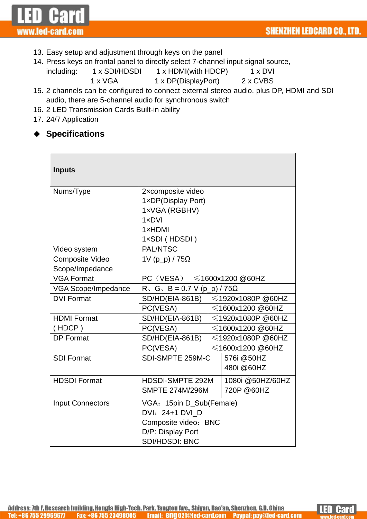

- 13. Easy setup and adjustment through keys on the panel
- 14. Press keys on frontal panel to directly select 7-channel input signal source,

including: 1 x SDI/HDSDI 1 x HDMI(with HDCP) 1 x DVI 1 x VGA 1 x DP(DisplayPort) 2 x CVBS

- 15. 2 channels can be configured to connect external stereo audio, plus DP, HDMI and SDI audio, there are 5-channel audio for synchronous switch
- 16. 2 LED Transmission Cards Built-in ability
- 17. 24/7 Application

### **Specifications**

| <b>Inputs</b>              |                                      |  |                         |
|----------------------------|--------------------------------------|--|-------------------------|
| Nums/Type                  | 2xcomposite video                    |  |                         |
|                            | 1xDP(Display Port)                   |  |                         |
|                            | 1xVGA (RGBHV)                        |  |                         |
|                            | 1xDVI                                |  |                         |
|                            | 1xHDMI                               |  |                         |
|                            | $1xSDI$ (HDSDI)                      |  |                         |
| Video system               | <b>PAL/NTSC</b>                      |  |                         |
| <b>Composite Video</b>     | 1V (p_p) / 75Ω                       |  |                         |
| Scope/Impedance            |                                      |  |                         |
| <b>VGA Format</b>          | $PC$ (VESA) $ \leq 1600x1200$ @60HZ  |  |                         |
| <b>VGA Scope/Impedance</b> | R, G, B = 0.7 V (p p) / 75 $\Omega$  |  |                         |
| <b>DVI Format</b>          | SD/HD(EIA-861B)                      |  | $\leq$ 1920x1080P @60HZ |
|                            | PC(VESA)                             |  | $\leq 1600x1200$ @60HZ  |
| <b>HDMI Format</b>         | SD/HD(EIA-861B)                      |  | $\leq$ 1920x1080P @60HZ |
| (HDCP)                     | PC(VESA)                             |  | $\leq$ 1600x1200 @60HZ  |
| <b>DP Format</b>           | SD/HD(EIA-861B)                      |  | $\leq$ 1920x1080P @60HZ |
|                            | PC(VESA)                             |  | $\leq$ 1600x1200 @60HZ  |
| <b>SDI Format</b>          | SDI-SMPTE 259M-C<br>576i @50HZ       |  |                         |
|                            |                                      |  | 480i @60HZ              |
| <b>HDSDI Format</b>        | HDSDI-SMPTE 292M<br>1080i @50HZ/60HZ |  |                         |
|                            | <b>SMPTE 274M/296M</b><br>720P @60HZ |  |                         |
| <b>Input Connectors</b>    | VGA: 15pin D_Sub(Female)             |  |                         |
|                            | DVI: 24+1 DVI D                      |  |                         |
|                            | Composite video: BNC                 |  |                         |
|                            | D/P: Display Port                    |  |                         |
|                            | <b>SDI/HDSDI: BNC</b>                |  |                         |

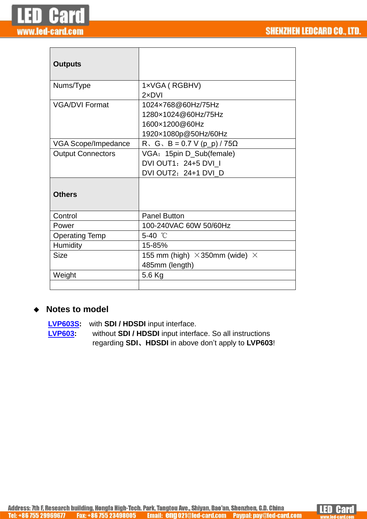

| <b>Outputs</b>           |                                              |  |
|--------------------------|----------------------------------------------|--|
| Nums/Type                | 1xVGA (RGBHV)                                |  |
|                          | 2xDVI                                        |  |
| <b>VGA/DVI Format</b>    | 1024×768@60Hz/75Hz                           |  |
|                          | 1280×1024@60Hz/75Hz                          |  |
|                          | 1600×1200@60Hz                               |  |
|                          | 1920×1080p@50Hz/60Hz                         |  |
| VGA Scope/Impedance      | R, G, B = 0.7 V (p_p) / 75 $\Omega$          |  |
| <b>Output Connectors</b> | VGA: 15pin D_Sub(female)                     |  |
|                          | DVI OUT1: 24+5 DVI 1                         |  |
|                          | DVI OUT2: 24+1 DVI_D                         |  |
| <b>Others</b>            |                                              |  |
| Control                  | <b>Panel Button</b>                          |  |
| Power                    | 100-240VAC 60W 50/60Hz                       |  |
| <b>Operating Temp</b>    | 5-40 $^{\circ}$ C                            |  |
| <b>Humidity</b>          | 15-85%                                       |  |
| <b>Size</b>              | 155 mm (high) $\times$ 350mm (wide) $\times$ |  |
|                          | 485mm (length)                               |  |
| Weight                   | 5.6 Kg                                       |  |
|                          |                                              |  |

#### **Notes to model**

**[LVP603S:](http://www.led-card.com/product_info.php?products_id=196)** with **SDI / HDSDI** input interface. **[LVP603:](http://www.led-card.com/product_info.php?products_id=195)** without **SDI / HDSDI** input interface. So all instructions regarding **SDI**、**HDSDI** in above don't apply to **LVP603**!

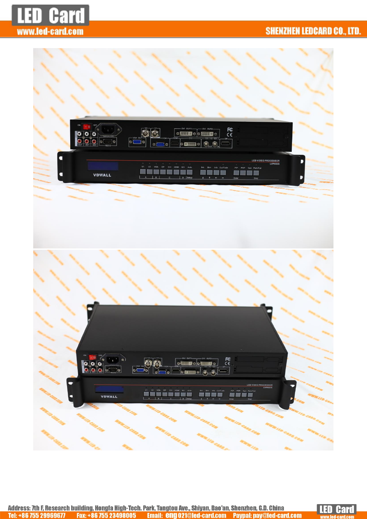## **SHENZHEN LEDCARD CO., LTD.**